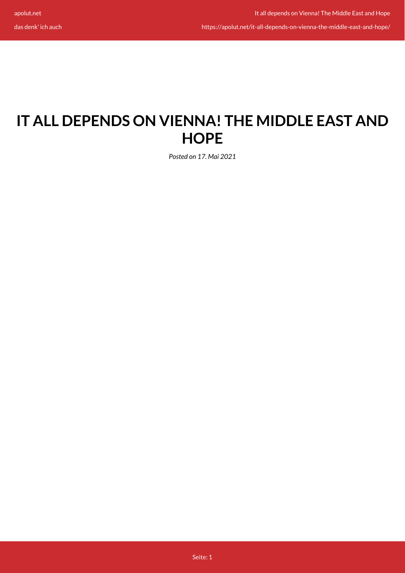https://apolut.net/it-all-depends-on-vienna-the-middle-east-and-hope/

## **IT ALL DEPENDS ON VIENNA! THE MIDDLE EAST AND HOPE**

*Posted on 17. Mai 2021*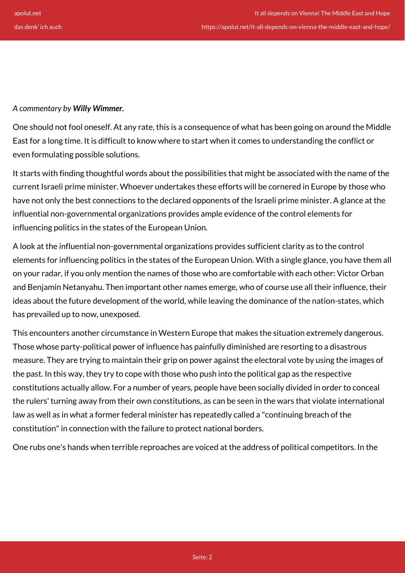## *A commentary by Willy Wimmer.*

One should not fool oneself. At any rate, this is a consequence of what has been going on around the Middle East for a long time. It is difficult to know where to start when it comes to understanding the conflict or even formulating possible solutions.

It starts with finding thoughtful words about the possibilities that might be associated with the name of the current Israeli prime minister. Whoever undertakes these efforts will be cornered in Europe by those who have not only the best connections to the declared opponents of the Israeli prime minister. A glance at the influential non-governmental organizations provides ample evidence of the control elements for influencing politics in the states of the European Union.

A look at the influential non-governmental organizations provides sufficient clarity as to the control elements for influencing politics in the states of the European Union. With a single glance, you have them all on your radar, if you only mention the names of those who are comfortable with each other: Victor Orban and Benjamin Netanyahu. Then important other names emerge, who of course use all their influence, their ideas about the future development of the world, while leaving the dominance of the nation-states, which has prevailed up to now, unexposed.

This encounters another circumstance in Western Europe that makes the situation extremely dangerous. Those whose party-political power of influence has painfully diminished are resorting to a disastrous measure. They are trying to maintain their grip on power against the electoral vote by using the images of the past. In this way, they try to cope with those who push into the political gap as the respective constitutions actually allow. For a number of years, people have been socially divided in order to conceal the rulers' turning away from their own constitutions, as can be seen in the wars that violate international law as well as in what a former federal minister has repeatedly called a "continuing breach of the constitution" in connection with the failure to protect national borders.

One rubs one's hands when terrible reproaches are voiced at the address of political competitors. In the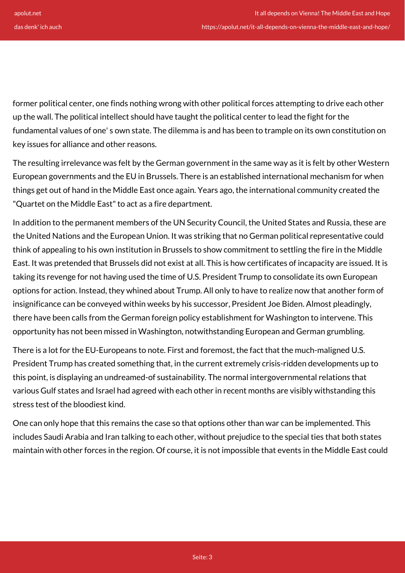former political center, one finds nothing wrong with other political forces attempting to drive each other up the wall. The political intellect should have taught the political center to lead the fight for the fundamental values of one' s own state. The dilemma is and has been to trample on its own constitution on key issues for alliance and other reasons.

The resulting irrelevance was felt by the German government in the same way as it is felt by other Western European governments and the EU in Brussels. There is an established international mechanism for when things get out of hand in the Middle East once again. Years ago, the international community created the "Quartet on the Middle East" to act as a fire department.

In addition to the permanent members of the UN Security Council, the United States and Russia, these are the United Nations and the European Union. It was striking that no German political representative could think of appealing to his own institution in Brussels to show commitment to settling the fire in the Middle East. It was pretended that Brussels did not exist at all. This is how certificates of incapacity are issued. It is taking its revenge for not having used the time of U.S. President Trump to consolidate its own European options for action. Instead, they whined about Trump. All only to have to realize now that another form of insignificance can be conveyed within weeks by his successor, President Joe Biden. Almost pleadingly, there have been calls from the German foreign policy establishment for Washington to intervene. This opportunity has not been missed in Washington, notwithstanding European and German grumbling.

There is a lot for the EU-Europeans to note. First and foremost, the fact that the much-maligned U.S. President Trump has created something that, in the current extremely crisis-ridden developments up to this point, is displaying an undreamed-of sustainability. The normal intergovernmental relations that various Gulf states and Israel had agreed with each other in recent months are visibly withstanding this stress test of the bloodiest kind.

One can only hope that this remains the case so that options other than war can be implemented. This includes Saudi Arabia and Iran talking to each other, without prejudice to the special ties that both states maintain with other forces in the region. Of course, it is not impossible that events in the Middle East could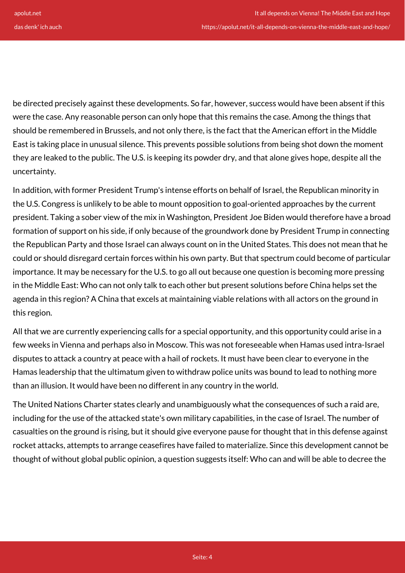be directed precisely against these developments. So far, however, success would have been absent if this were the case. Any reasonable person can only hope that this remains the case. Among the things that should be remembered in Brussels, and not only there, is the fact that the American effort in the Middle East is taking place in unusual silence. This prevents possible solutions from being shot down the moment they are leaked to the public. The U.S. is keeping its powder dry, and that alone gives hope, despite all the uncertainty.

In addition, with former President Trump's intense efforts on behalf of Israel, the Republican minority in the U.S. Congress is unlikely to be able to mount opposition to goal-oriented approaches by the current president. Taking a sober view of the mix in Washington, President Joe Biden would therefore have a broad formation of support on his side, if only because of the groundwork done by President Trump in connecting the Republican Party and those Israel can always count on in the United States. This does not mean that he could or should disregard certain forces within his own party. But that spectrum could become of particular importance. It may be necessary for the U.S. to go all out because one question is becoming more pressing in the Middle East: Who can not only talk to each other but present solutions before China helps set the agenda in this region? A China that excels at maintaining viable relations with all actors on the ground in this region.

All that we are currently experiencing calls for a special opportunity, and this opportunity could arise in a few weeks in Vienna and perhaps also in Moscow. This was not foreseeable when Hamas used intra-Israel disputes to attack a country at peace with a hail of rockets. It must have been clear to everyone in the Hamas leadership that the ultimatum given to withdraw police units was bound to lead to nothing more than an illusion. It would have been no different in any country in the world.

The United Nations Charter states clearly and unambiguously what the consequences of such a raid are, including for the use of the attacked state's own military capabilities, in the case of Israel. The number of casualties on the ground is rising, but it should give everyone pause for thought that in this defense against rocket attacks, attempts to arrange ceasefires have failed to materialize. Since this development cannot be thought of without global public opinion, a question suggests itself: Who can and will be able to decree the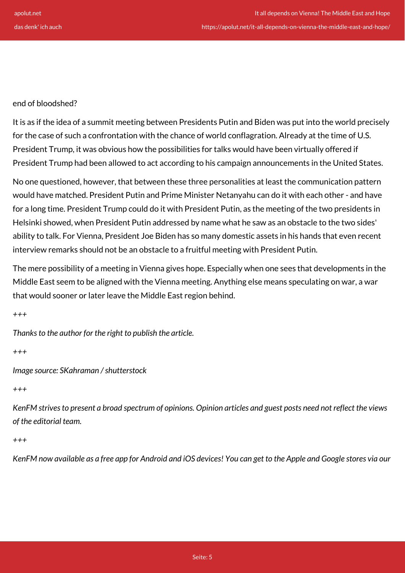## end of bloodshed?

It is as if the idea of a summit meeting between Presidents Putin and Biden was put into the world precisely for the case of such a confrontation with the chance of world conflagration. Already at the time of U.S. President Trump, it was obvious how the possibilities for talks would have been virtually offered if President Trump had been allowed to act according to his campaign announcements in the United States.

No one questioned, however, that between these three personalities at least the communication pattern would have matched. President Putin and Prime Minister Netanyahu can do it with each other - and have for a long time. President Trump could do it with President Putin, as the meeting of the two presidents in Helsinki showed, when President Putin addressed by name what he saw as an obstacle to the two sides' ability to talk. For Vienna, President Joe Biden has so many domestic assets in his hands that even recent interview remarks should not be an obstacle to a fruitful meeting with President Putin.

The mere possibility of a meeting in Vienna gives hope. Especially when one sees that developments in the Middle East seem to be aligned with the Vienna meeting. Anything else means speculating on war, a war that would sooner or later leave the Middle East region behind.

*+++*

*Thanks to the author for the right to publish the article.*

*+++*

*Image source: SKahraman / shutterstock*

*+++*

*KenFM strives to present a broad spectrum of opinions. Opinion articles and guest posts need not reflect the views of the editorial team.*

*+++*

*KenFM now available as a free app for Android and iOS devices! You can get to the Apple and Google stores via our*